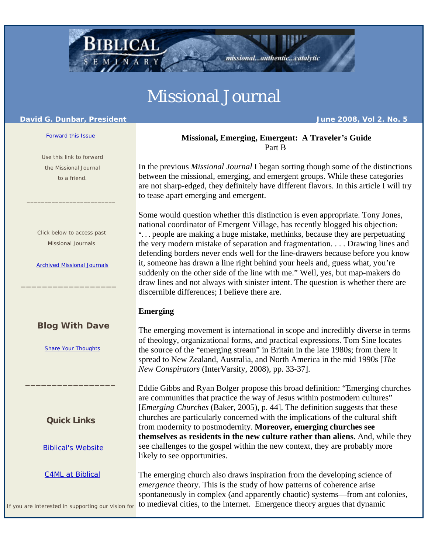# Missional Journal

#### **David G. Dunbar, President June 2008, Vol 2. No. 5**

#### Forward this Issue

 Use this link to forward the Missional Journal to a friend.

 $\mathcal{L}_\text{max} = \frac{1}{2} \sum_{i=1}^{n} \frac{1}{2} \sum_{i=1}^{n} \frac{1}{2} \sum_{i=1}^{n} \frac{1}{2} \sum_{i=1}^{n} \frac{1}{2} \sum_{i=1}^{n} \frac{1}{2} \sum_{i=1}^{n} \frac{1}{2} \sum_{i=1}^{n} \frac{1}{2} \sum_{i=1}^{n} \frac{1}{2} \sum_{i=1}^{n} \frac{1}{2} \sum_{i=1}^{n} \frac{1}{2} \sum_{i=1}^{n} \frac{1}{2} \sum_{i=1}^{n} \frac{1$ 

 Click below to access past Missional Journals

Archived Missional Journals

\_\_\_\_\_\_\_\_\_\_\_\_\_\_\_\_\_\_

# **Blog With Dave**

Share Your Thoughts

**Quick Links**

\_\_\_\_\_\_\_\_\_\_\_\_\_\_\_\_\_

Biblical's Website

C4ML at Biblical

The emerging church also draws inspiration from the developing science of *emergence* theory. This is the study of how patterns of coherence arise spontaneously in complex (and apparently chaotic) systems—from ant colonies, to medieval cities, to the internet. Emergence theory argues that dynamic

If you are interested in supporting our vision for

In the previous *Missional Journal* I began sorting though some of the distinctions between the missional, emerging, and emergent groups. While these categories

are not sharp-edged, they definitely have different flavors. In this article I will try to tease apart emerging and emergent. Some would question whether this distinction is even appropriate. Tony Jones, national coordinator of Emergent Village, has recently blogged his objection: ". . . people are making a huge mistake, methinks, because they are perpetuating the very modern mistake of separation and fragmentation. . . . Drawing lines and defending borders never ends well for the line-drawers because before you know

 **Missional, Emerging, Emergent: A Traveler's Guide**  Part B

missional...authentic...catalytic

it, someone has drawn a line right behind your heels and, guess what, you're suddenly on the other side of the line with me." Well, yes, but map-makers do draw lines and not always with sinister intent. The question is whether there are discernible differences; I believe there are.

# **Emerging**

The emerging movement is international in scope and incredibly diverse in terms of theology, organizational forms, and practical expressions. Tom Sine locates the source of the "emerging stream" in Britain in the late 1980s; from there it spread to New Zealand, Australia, and North America in the mid 1990s [*The New Conspirators* (InterVarsity, 2008), pp. 33-37].

Eddie Gibbs and Ryan Bolger propose this broad definition: "Emerging churches are communities that practice the way of Jesus within postmodern cultures" [*Emerging Churches* (Baker, 2005), p. 44]. The definition suggests that these churches are particularly concerned with the implications of the cultural shift from modernity to postmodernity. **Moreover, emerging churches see themselves as residents in the new culture rather than aliens**. And, while they see challenges to the gospel within the new context, they are probably more likely to see opportunities.

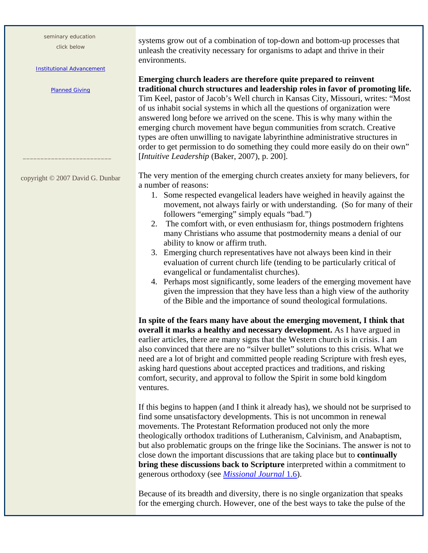seminary education

click below

#### Institutional Advancement

Planned Giving

copyright © 2007 David G. Dunbar

\_\_\_\_\_\_\_\_\_\_\_\_\_\_\_\_\_\_\_\_\_\_\_\_\_

systems grow out of a combination of top-down and bottom-up processes that unleash the creativity necessary for organisms to adapt and thrive in their environments.

**Emerging church leaders are therefore quite prepared to reinvent traditional church structures and leadership roles in favor of promoting life.** Tim Keel, pastor of Jacob's Well church in Kansas City, Missouri, writes: "Most of us inhabit social systems in which all the questions of organization were answered long before we arrived on the scene. This is why many within the emerging church movement have begun communities from scratch. Creative types are often unwilling to navigate labyrinthine administrative structures in order to get permission to do something they could more easily do on their own" [*Intuitive Leadership* (Baker, 2007), p. 200].

The very mention of the emerging church creates anxiety for many believers, for a number of reasons:

- 1. Some respected evangelical leaders have weighed in heavily against the movement, not always fairly or with understanding. (So for many of their followers "emerging" simply equals "bad.")
- 2. The comfort with, or even enthusiasm for, things postmodern frightens many Christians who assume that postmodernity means a denial of our ability to know or affirm truth.
- 3. Emerging church representatives have not always been kind in their evaluation of current church life (tending to be particularly critical of evangelical or fundamentalist churches).
- 4. Perhaps most significantly, some leaders of the emerging movement have given the impression that they have less than a high view of the authority of the Bible and the importance of sound theological formulations.

**In spite of the fears many have about the emerging movement, I think that overall it marks a healthy and necessary development.** As I have argued in earlier articles, there are many signs that the Western church is in crisis. I am also convinced that there are no "silver bullet" solutions to this crisis. What we need are a lot of bright and committed people reading Scripture with fresh eyes, asking hard questions about accepted practices and traditions, and risking comfort, security, and approval to follow the Spirit in some bold kingdom ventures.

If this begins to happen (and I think it already has), we should not be surprised to find some unsatisfactory developments. This is not uncommon in renewal movements. The Protestant Reformation produced not only the more theologically orthodox traditions of Lutheranism, Calvinism, and Anabaptism, but also problematic groups on the fringe like the Socinians. The answer is not to close down the important discussions that are taking place but to **continually bring these discussions back to Scripture** interpreted within a commitment to generous orthodoxy (see *Missional Journal* 1.6).

Because of its breadth and diversity, there is no single organization that speaks for the emerging church. However, one of the best ways to take the pulse of the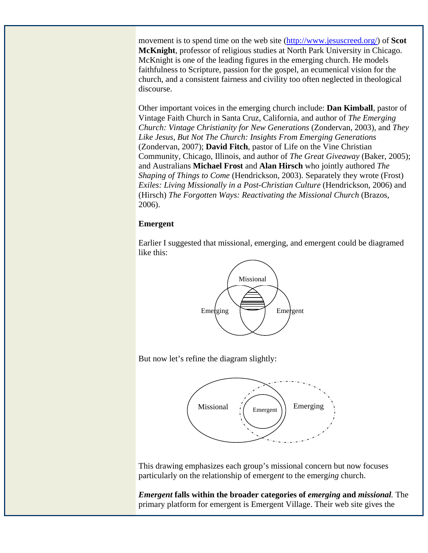movement is to spend time on the web site (http://www.jesuscreed.org/) of **Scot McKnight**, professor of religious studies at North Park University in Chicago. McKnight is one of the leading figures in the emerging church. He models faithfulness to Scripture, passion for the gospel, an ecumenical vision for the church, and a consistent fairness and civility too often neglected in theological discourse.

Other important voices in the emerging church include: **Dan Kimball**, pastor of Vintage Faith Church in Santa Cruz, California, and author of *The Emerging Church: Vintage Christianity for New Generations* (Zondervan, 2003), and *They Like Jesus, But Not The Church: Insights From Emerging Generations*  (Zondervan, 2007); **David Fitch**, pastor of Life on the Vine Christian Community, Chicago, Illinois, and author of *The Great Giveaway* (Baker, 2005); and Australians **Michael Frost** and **Alan Hirsch** who jointly authored *The Shaping of Things to Come* (Hendrickson, 2003). Separately they wrote (Frost) *Exiles: Living Missionally in a Post-Christian Culture* (Hendrickson, 2006) and (Hirsch) *The Forgotten Ways: Reactivating the Missional Church* (Brazos, 2006).

## **Emergent**

Earlier I suggested that missional, emerging, and emergent could be diagramed like this:



But now let's refine the diagram slightly:



This drawing emphasizes each group's missional concern but now focuses particularly on the relationship of emerg*ent* to the emerg*ing* church.

*Emergent* **falls within the broader categories of** *emerging* **and** *missional.* The primary platform for emergent is Emergent Village. Their web site gives the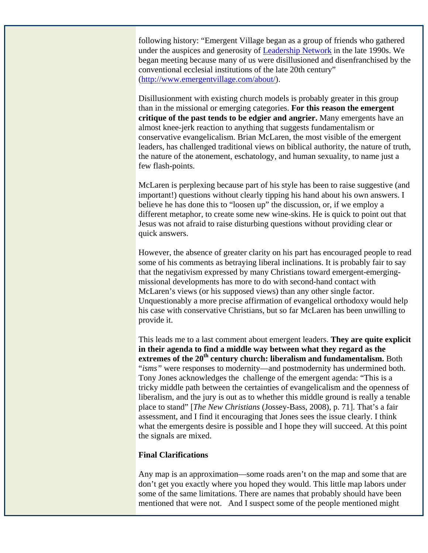following history: "Emergent Village began as a group of friends who gathered under the auspices and generosity of Leadership Network in the late 1990s. We began meeting because many of us were disillusioned and disenfranchised by the conventional ecclesial institutions of the late 20th century" (http://www.emergentvillage.com/about/).

Disillusionment with existing church models is probably greater in this group than in the missional or emerging categories. **For this reason the emergent critique of the past tends to be edgier and angrier.** Many emergents have an almost knee-jerk reaction to anything that suggests fundamentalism or conservative evangelicalism. Brian McLaren, the most visible of the emergent leaders, has challenged traditional views on biblical authority, the nature of truth, the nature of the atonement, eschatology, and human sexuality, to name just a few flash-points.

McLaren is perplexing because part of his style has been to raise suggestive (and important!) questions without clearly tipping his hand about his own answers. I believe he has done this to "loosen up" the discussion, or, if we employ a different metaphor, to create some new wine-skins. He is quick to point out that Jesus was not afraid to raise disturbing questions without providing clear or quick answers.

However, the absence of greater clarity on his part has encouraged people to read some of his comments as betraying liberal inclinations. It is probably fair to say that the negativism expressed by many Christians toward emergent-emergingmissional developments has more to do with second-hand contact with McLaren's views (or his supposed views) than any other single factor. Unquestionably a more precise affirmation of evangelical orthodoxy would help his case with conservative Christians, but so far McLaren has been unwilling to provide it.

This leads me to a last comment about emergent leaders. **They are quite explicit in their agenda to find a middle way between what they regard as the**  extremes of the 20<sup>th</sup> century church: liberalism and fundamentalism. Both "*isms"* were responses to modernity—and postmodernity has undermined both. Tony Jones acknowledges the challenge of the emergent agenda: "This is a tricky middle path between the certainties of evangelicalism and the openness of liberalism, and the jury is out as to whether this middle ground is really a tenable place to stand" [*The New Christians* (Jossey-Bass, 2008), p. 71]. That's a fair assessment, and I find it encouraging that Jones sees the issue clearly. I think what the emergents desire is possible and I hope they will succeed. At this point the signals are mixed.

# **Final Clarifications**

Any map is an approximation—some roads aren't on the map and some that are don't get you exactly where you hoped they would. This little map labors under some of the same limitations. There are names that probably should have been mentioned that were not. And I suspect some of the people mentioned might